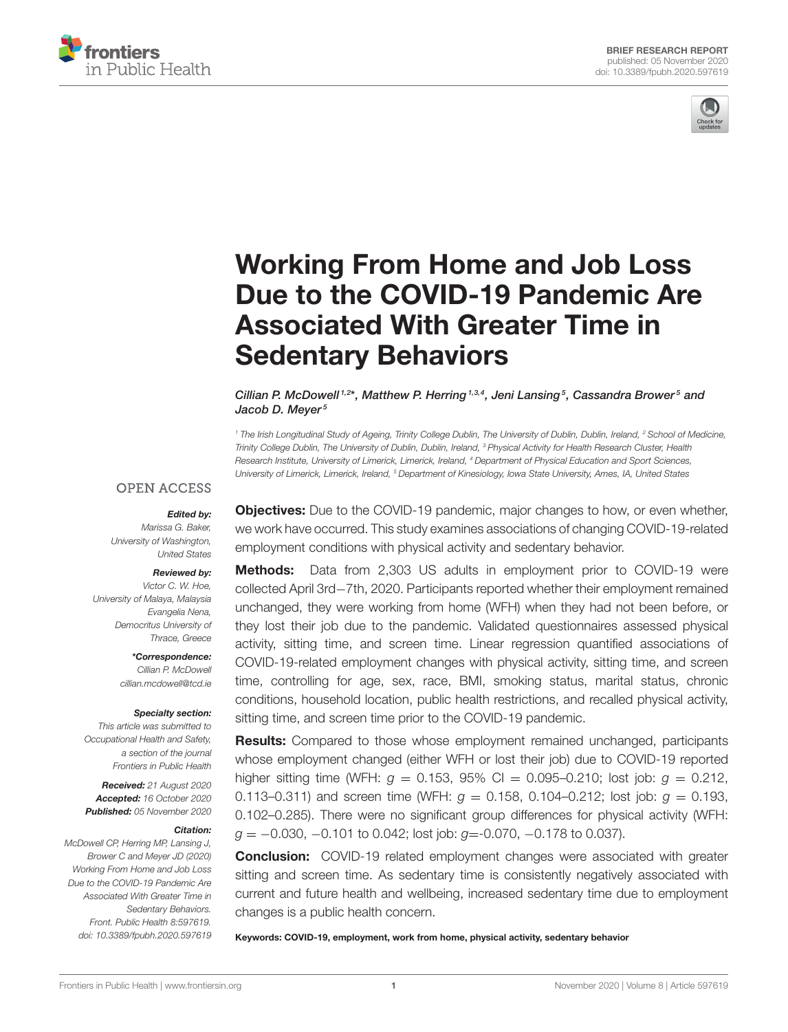



# Working From Home and Job Loss [Due to the COVID-19 Pandemic Are](https://www.frontiersin.org/articles/10.3389/fpubh.2020.597619/full) Associated With Greater Time in Sedentary Behaviors

Cillian P. McDowell <sup>1,2\*</sup>, Matthew P. Herring <sup>1,3,4</sup>, Jeni Lansing <sup>5</sup>, Cassandra Brower 5<sup>5</sup> and Jacob D. Meyer<sup>5</sup>

*<sup>1</sup> The Irish Longitudinal Study of Ageing, Trinity College Dublin, The University of Dublin, Dublin, Ireland, <sup>2</sup> School of Medicine, Trinity College Dublin, The University of Dublin, Dublin, Ireland, <sup>3</sup> Physical Activity for Health Research Cluster, Health Research Institute, University of Limerick, Limerick, Ireland, <sup>4</sup> Department of Physical Education and Sport Sciences, University of Limerick, Limerick, Ireland, <sup>5</sup> Department of Kinesiology, Iowa State University, Ames, IA, United States*

#### **OPEN ACCESS**

#### Edited by:

*Marissa G. Baker, University of Washington, United States*

#### Reviewed by:

*Victor C. W. Hoe, University of Malaya, Malaysia Evangelia Nena, Democritus University of Thrace, Greece*

> \*Correspondence: *Cillian P. McDowell [cillian.mcdowell@tcd.ie](mailto:cillian.mcdowell@tcd.ie)*

#### Specialty section:

*This article was submitted to Occupational Health and Safety, a section of the journal Frontiers in Public Health*

Received: *21 August 2020* Accepted: *16 October 2020* Published: *05 November 2020*

#### Citation:

*McDowell CP, Herring MP, Lansing J, Brower C and Meyer JD (2020) Working From Home and Job Loss Due to the COVID-19 Pandemic Are Associated With Greater Time in Sedentary Behaviors. Front. Public Health 8:597619. doi: [10.3389/fpubh.2020.597619](https://doi.org/10.3389/fpubh.2020.597619)* **Objectives:** Due to the COVID-19 pandemic, major changes to how, or even whether, we work have occurred. This study examines associations of changing COVID-19-related employment conditions with physical activity and sedentary behavior.

**Methods:** Data from 2,303 US adults in employment prior to COVID-19 were collected April 3rd−7th, 2020. Participants reported whether their employment remained unchanged, they were working from home (WFH) when they had not been before, or they lost their job due to the pandemic. Validated questionnaires assessed physical activity, sitting time, and screen time. Linear regression quantified associations of COVID-19-related employment changes with physical activity, sitting time, and screen time, controlling for age, sex, race, BMI, smoking status, marital status, chronic conditions, household location, public health restrictions, and recalled physical activity, sitting time, and screen time prior to the COVID-19 pandemic.

Results: Compared to those whose employment remained unchanged, participants whose employment changed (either WFH or lost their job) due to COVID-19 reported higher sitting time (WFH:  $g = 0.153$ , 95% CI = 0.095-0.210; lost job:  $g = 0.212$ , 0.113–0.311) and screen time (WFH:  $g = 0.158$ , 0.104–0.212; lost job:  $g = 0.193$ , 0.102–0.285). There were no significant group differences for physical activity (WFH: *g* = −0.030, −0.101 to 0.042; lost job: *g*=-0.070, −0.178 to 0.037).

**Conclusion:** COVID-19 related employment changes were associated with greater sitting and screen time. As sedentary time is consistently negatively associated with current and future health and wellbeing, increased sedentary time due to employment changes is a public health concern.

Keywords: COVID-19, employment, work from home, physical activity, sedentary behavior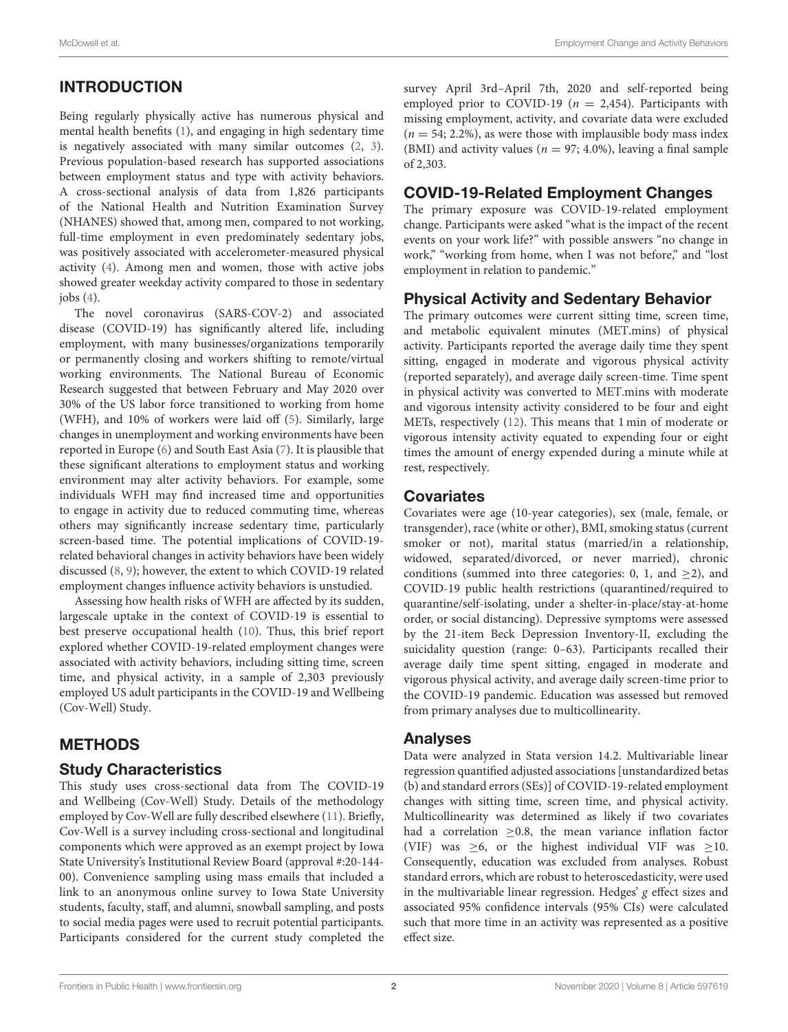# INTRODUCTION

Being regularly physically active has numerous physical and mental health benefits [\(1\)](#page-4-0), and engaging in high sedentary time is negatively associated with many similar outcomes [\(2,](#page-4-1) [3\)](#page-4-2). Previous population-based research has supported associations between employment status and type with activity behaviors. A cross-sectional analysis of data from 1,826 participants of the National Health and Nutrition Examination Survey (NHANES) showed that, among men, compared to not working, full-time employment in even predominately sedentary jobs, was positively associated with accelerometer-measured physical activity [\(4\)](#page-4-3). Among men and women, those with active jobs showed greater weekday activity compared to those in sedentary jobs  $(4)$ .

The novel coronavirus (SARS-COV-2) and associated disease (COVID-19) has significantly altered life, including employment, with many businesses/organizations temporarily or permanently closing and workers shifting to remote/virtual working environments. The National Bureau of Economic Research suggested that between February and May 2020 over 30% of the US labor force transitioned to working from home (WFH), and 10% of workers were laid off [\(5\)](#page-4-4). Similarly, large changes in unemployment and working environments have been reported in Europe [\(6\)](#page-4-5) and South East Asia [\(7\)](#page-4-6). It is plausible that these significant alterations to employment status and working environment may alter activity behaviors. For example, some individuals WFH may find increased time and opportunities to engage in activity due to reduced commuting time, whereas others may significantly increase sedentary time, particularly screen-based time. The potential implications of COVID-19 related behavioral changes in activity behaviors have been widely discussed [\(8,](#page-4-7) [9\)](#page-4-8); however, the extent to which COVID-19 related employment changes influence activity behaviors is unstudied.

Assessing how health risks of WFH are affected by its sudden, largescale uptake in the context of COVID-19 is essential to best preserve occupational health [\(10\)](#page-4-9). Thus, this brief report explored whether COVID-19-related employment changes were associated with activity behaviors, including sitting time, screen time, and physical activity, in a sample of 2,303 previously employed US adult participants in the COVID-19 and Wellbeing (Cov-Well) Study.

## METHODS

#### Study Characteristics

This study uses cross-sectional data from The COVID-19 and Wellbeing (Cov-Well) Study. Details of the methodology employed by Cov-Well are fully described elsewhere [\(11\)](#page-4-10). Briefly, Cov-Well is a survey including cross-sectional and longitudinal components which were approved as an exempt project by Iowa State University's Institutional Review Board (approval #:20-144- 00). Convenience sampling using mass emails that included a link to an anonymous online survey to Iowa State University students, faculty, staff, and alumni, snowball sampling, and posts to social media pages were used to recruit potential participants. Participants considered for the current study completed the survey April 3rd–April 7th, 2020 and self-reported being employed prior to COVID-19 ( $n = 2,454$ ). Participants with missing employment, activity, and covariate data were excluded  $(n = 54; 2.2\%)$ , as were those with implausible body mass index (BMI) and activity values ( $n = 97$ ; 4.0%), leaving a final sample of 2,303.

#### COVID-19-Related Employment Changes

The primary exposure was COVID-19-related employment change. Participants were asked "what is the impact of the recent events on your work life?" with possible answers "no change in work," "working from home, when I was not before," and "lost employment in relation to pandemic."

## Physical Activity and Sedentary Behavior

The primary outcomes were current sitting time, screen time, and metabolic equivalent minutes (MET.mins) of physical activity. Participants reported the average daily time they spent sitting, engaged in moderate and vigorous physical activity (reported separately), and average daily screen-time. Time spent in physical activity was converted to MET.mins with moderate and vigorous intensity activity considered to be four and eight METs, respectively [\(12\)](#page-4-11). This means that 1 min of moderate or vigorous intensity activity equated to expending four or eight times the amount of energy expended during a minute while at rest, respectively.

#### **Covariates**

Covariates were age (10-year categories), sex (male, female, or transgender), race (white or other), BMI, smoking status (current smoker or not), marital status (married/in a relationship, widowed, separated/divorced, or never married), chronic conditions (summed into three categories: 0, 1, and  $\geq$ 2), and COVID-19 public health restrictions (quarantined/required to quarantine/self-isolating, under a shelter-in-place/stay-at-home order, or social distancing). Depressive symptoms were assessed by the 21-item Beck Depression Inventory-II, excluding the suicidality question (range: 0–63). Participants recalled their average daily time spent sitting, engaged in moderate and vigorous physical activity, and average daily screen-time prior to the COVID-19 pandemic. Education was assessed but removed from primary analyses due to multicollinearity.

#### Analyses

Data were analyzed in Stata version 14.2. Multivariable linear regression quantified adjusted associations [unstandardized betas (b) and standard errors (SEs)] of COVID-19-related employment changes with sitting time, screen time, and physical activity. Multicollinearity was determined as likely if two covariates had a correlation  $\geq$ 0.8, the mean variance inflation factor (VIF) was  $\geq 6$ , or the highest individual VIF was  $\geq 10$ . Consequently, education was excluded from analyses. Robust standard errors, which are robust to heteroscedasticity, were used in the multivariable linear regression. Hedges'  $g$  effect sizes and associated 95% confidence intervals (95% CIs) were calculated such that more time in an activity was represented as a positive effect size.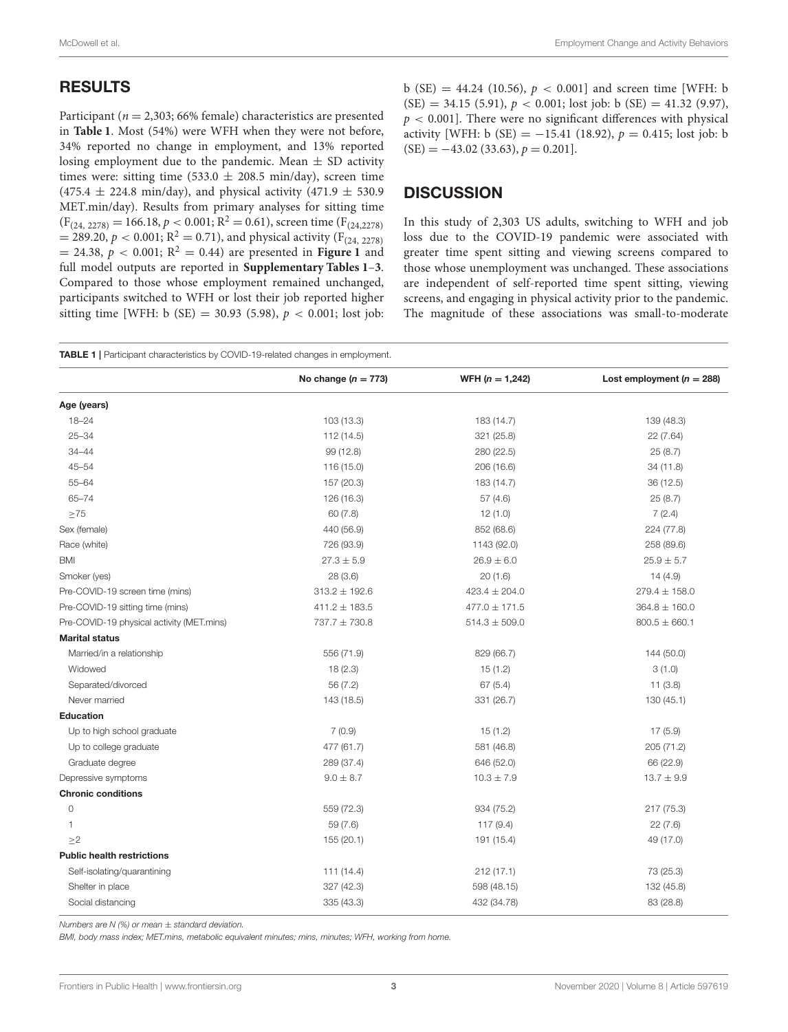# RESULTS

Participant ( $n = 2,303$ ; 66% female) characteristics are presented in **[Table 1](#page-2-0)**. Most (54%) were WFH when they were not before, 34% reported no change in employment, and 13% reported losing employment due to the pandemic. Mean  $\pm$  SD activity times were: sitting time (533.0  $\pm$  208.5 min/day), screen time  $(475.4 \pm 224.8 \text{ min/day})$ , and physical activity  $(471.9 \pm 530.9$ MET.min/day). Results from primary analyses for sitting time  $(F_{(24, 2278)} = 166.18, p < 0.001; R^2 = 0.61)$ , screen time  $(F_{(24, 2278)})$  $= 289.20, p < 0.001; R<sup>2</sup> = 0.71$ , and physical activity (F<sub>(24, 2278)</sub>  $= 24.38, p < 0.001; R<sup>2</sup> = 0.44$  are presented in **[Figure 1](#page-3-0)** and full model outputs are reported in **[Supplementary Tables 1](#page-4-12)**–**[3](#page-4-12)**. Compared to those whose employment remained unchanged, participants switched to WFH or lost their job reported higher sitting time [WFH: b (SE) = 30.93 (5.98),  $p < 0.001$ ; lost job: b (SE) = 44.24 (10.56),  $p < 0.001$  and screen time [WFH: b  $(SE) = 34.15 (5.91), p < 0.001$ ; lost job: b  $(SE) = 41.32 (9.97)$ ,  $p < 0.001$ ]. There were no significant differences with physical activity [WFH: b  $(SE) = -15.41$  (18.92),  $p = 0.415$ ; lost job: b  $(SE) = -43.02$  (33.63),  $p = 0.201$ .

# **DISCUSSION**

In this study of 2,303 US adults, switching to WFH and job loss due to the COVID-19 pandemic were associated with greater time spent sitting and viewing screens compared to those whose unemployment was unchanged. These associations are independent of self-reported time spent sitting, viewing screens, and engaging in physical activity prior to the pandemic. The magnitude of these associations was small-to-moderate

<span id="page-2-0"></span>TABLE 1 | Participant characteristics by COVID-19-related changes in employment.

|                                           | No change $(n = 773)$ | WFH $(n = 1,242)$ | Lost employment ( $n = 288$ ) |
|-------------------------------------------|-----------------------|-------------------|-------------------------------|
| Age (years)                               |                       |                   |                               |
| $18 - 24$                                 | 103 (13.3)            | 183 (14.7)        | 139 (48.3)                    |
| $25 - 34$                                 | 112 (14.5)            | 321 (25.8)        | 22 (7.64)                     |
| $34 - 44$                                 | 99 (12.8)             | 280 (22.5)        | 25(8.7)                       |
| $45 - 54$                                 | 116 (15.0)            | 206 (16.6)        | 34(11.8)                      |
| $55 - 64$                                 | 157 (20.3)            | 183 (14.7)        | 36 (12.5)                     |
| $65 - 74$                                 | 126 (16.3)            | 57(4.6)           | 25(8.7)                       |
| $\geq$ 75                                 | 60(7.8)               | 12(1.0)           | 7(2.4)                        |
| Sex (female)                              | 440 (56.9)            | 852 (68.6)        | 224 (77.8)                    |
| Race (white)                              | 726 (93.9)            | 1143 (92.0)       | 258 (89.6)                    |
| <b>BMI</b>                                | $27.3 \pm 5.9$        | $26.9 \pm 6.0$    | $25.9 \pm 5.7$                |
| Smoker (yes)                              | 28(3.6)               | 20(1.6)           | 14(4.9)                       |
| Pre-COVID-19 screen time (mins)           | $313.2 \pm 192.6$     | $423.4 \pm 204.0$ | $279.4 \pm 158.0$             |
| Pre-COVID-19 sitting time (mins)          | $411.2 \pm 183.5$     | $477.0 \pm 171.5$ | $364.8 \pm 160.0$             |
| Pre-COVID-19 physical activity (MET.mins) | $737.7 \pm 730.8$     | $514.3 \pm 509.0$ | $800.5 \pm 660.1$             |
| <b>Marital status</b>                     |                       |                   |                               |
| Married/in a relationship                 | 556 (71.9)            | 829 (66.7)        | 144 (50.0)                    |
| Widowed                                   | 18(2.3)               | 15(1.2)           | 3(1.0)                        |
| Separated/divorced                        | 56 (7.2)              | 67(5.4)           | 11(3.8)                       |
| Never married                             | 143 (18.5)            | 331 (26.7)        | 130(45.1)                     |
| <b>Education</b>                          |                       |                   |                               |
| Up to high school graduate                | 7(0.9)                | 15(1.2)           | 17(5.9)                       |
| Up to college graduate                    | 477 (61.7)            | 581 (46.8)        | 205 (71.2)                    |
| Graduate degree                           | 289 (37.4)            | 646 (52.0)        | 66 (22.9)                     |
| Depressive symptoms                       | $9.0 \pm 8.7$         | $10.3 \pm 7.9$    | $13.7 \pm 9.9$                |
| <b>Chronic conditions</b>                 |                       |                   |                               |
| $\circ$                                   | 559 (72.3)            | 934 (75.2)        | 217 (75.3)                    |
| 1                                         | 59 (7.6)              | 117 (9.4)         | 22(7.6)                       |
| >2                                        | 155 (20.1)            | 191 (15.4)        | 49 (17.0)                     |
| <b>Public health restrictions</b>         |                       |                   |                               |
| Self-isolating/quarantining               | 111(14.4)             | 212(17.1)         | 73 (25.3)                     |
| Shelter in place                          | 327 (42.3)            | 598 (48.15)       | 132 (45.8)                    |
| Social distancing                         | 335 (43.3)            | 432 (34.78)       | 83 (28.8)                     |

*Numbers are N (%) or mean* ± *standard deviation.*

*BMI, body mass index; MET.mins, metabolic equivalent minutes; mins, minutes; WFH, working from home.*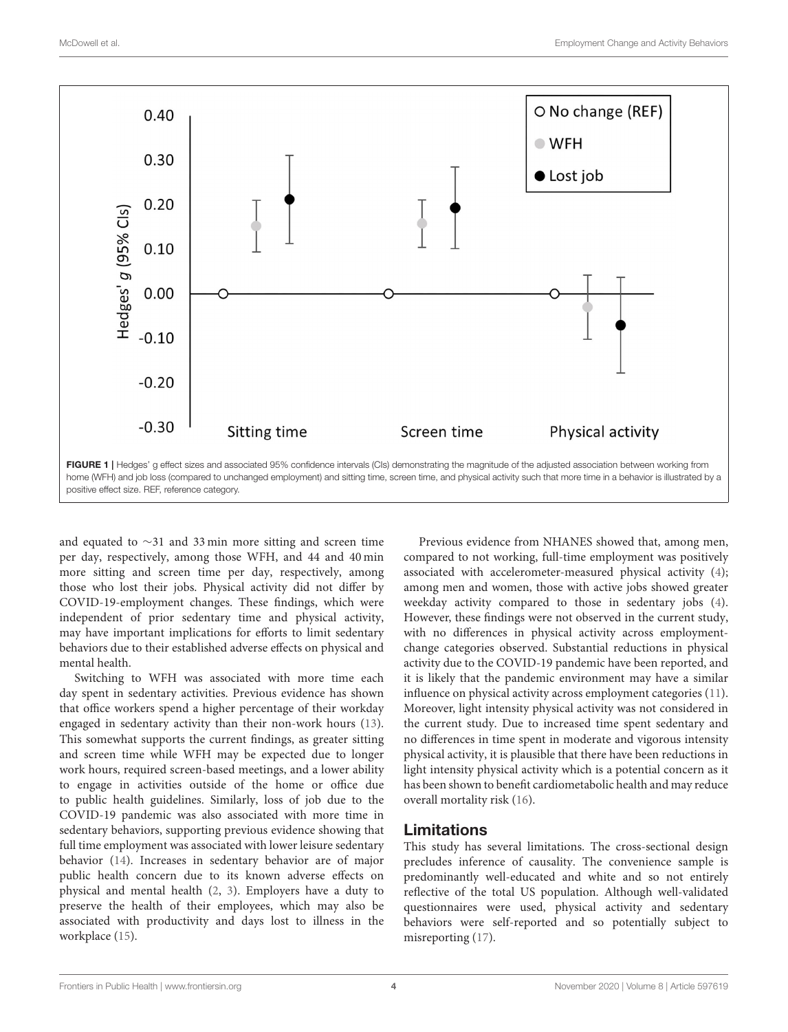

<span id="page-3-0"></span>and equated to ∼31 and 33 min more sitting and screen time per day, respectively, among those WFH, and 44 and 40 min more sitting and screen time per day, respectively, among those who lost their jobs. Physical activity did not differ by COVID-19-employment changes. These findings, which were independent of prior sedentary time and physical activity, may have important implications for efforts to limit sedentary behaviors due to their established adverse effects on physical and mental health.

Switching to WFH was associated with more time each day spent in sedentary activities. Previous evidence has shown that office workers spend a higher percentage of their workday engaged in sedentary activity than their non-work hours [\(13\)](#page-4-13). This somewhat supports the current findings, as greater sitting and screen time while WFH may be expected due to longer work hours, required screen-based meetings, and a lower ability to engage in activities outside of the home or office due to public health guidelines. Similarly, loss of job due to the COVID-19 pandemic was also associated with more time in sedentary behaviors, supporting previous evidence showing that full time employment was associated with lower leisure sedentary behavior [\(14\)](#page-4-14). Increases in sedentary behavior are of major public health concern due to its known adverse effects on physical and mental health [\(2,](#page-4-1) [3\)](#page-4-2). Employers have a duty to preserve the health of their employees, which may also be associated with productivity and days lost to illness in the workplace [\(15\)](#page-4-15).

Previous evidence from NHANES showed that, among men, compared to not working, full-time employment was positively associated with accelerometer-measured physical activity [\(4\)](#page-4-3); among men and women, those with active jobs showed greater weekday activity compared to those in sedentary jobs [\(4\)](#page-4-3). However, these findings were not observed in the current study, with no differences in physical activity across employmentchange categories observed. Substantial reductions in physical activity due to the COVID-19 pandemic have been reported, and it is likely that the pandemic environment may have a similar influence on physical activity across employment categories [\(11\)](#page-4-10). Moreover, light intensity physical activity was not considered in the current study. Due to increased time spent sedentary and no differences in time spent in moderate and vigorous intensity physical activity, it is plausible that there have been reductions in light intensity physical activity which is a potential concern as it has been shown to benefit cardiometabolic health and may reduce overall mortality risk [\(16\)](#page-4-16).

# Limitations

This study has several limitations. The cross-sectional design precludes inference of causality. The convenience sample is predominantly well-educated and white and so not entirely reflective of the total US population. Although well-validated questionnaires were used, physical activity and sedentary behaviors were self-reported and so potentially subject to misreporting [\(17\)](#page-4-17).